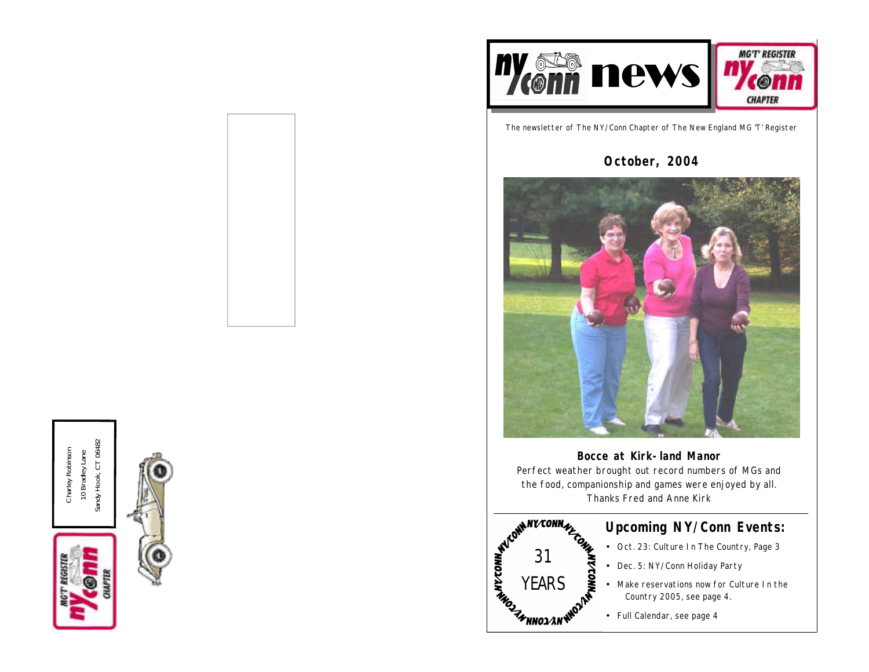

The newsletter of The NY/Conn Chapter of The New England MG 'T' Register

# **October, 2004**



**Bocce at Kirk-land Manor** Perfect weather brought out record numbers of MGs and the food, companionship and games were enjoyed by all. Thanks Fred and Anne Kirk



# **Upcoming NY/Conn Events:**

- Oct. 23: Culture In The Country, Page 3
- Dec. 5: NY/Conn Holiday Party
- Make reservations now for Culture In the Country 2005, see page 4.
- Full Calendar, see page 4



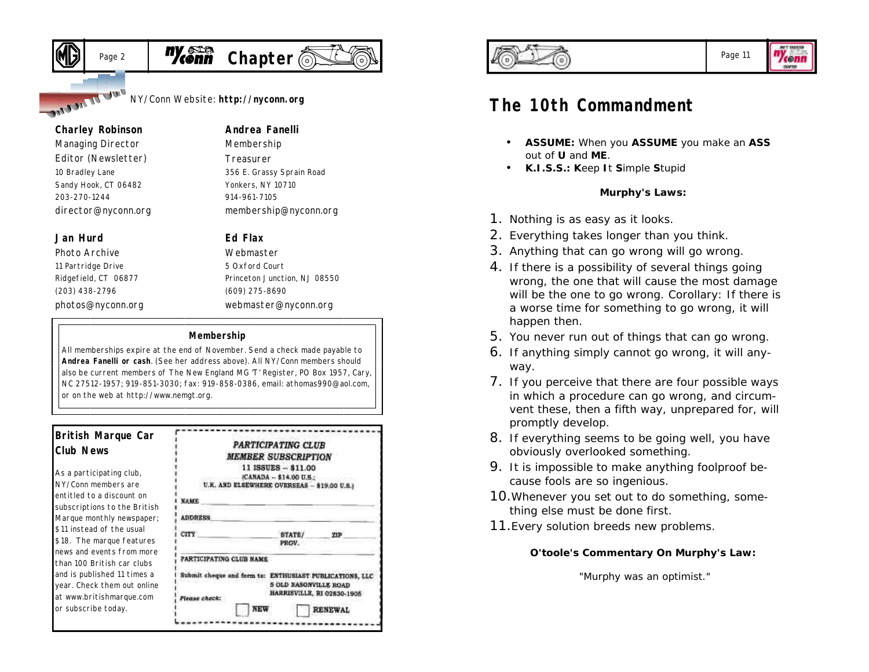

NY/Conn Website: **http://nyconn.org**

#### **Charley Robinson**

**J.W. J. J.Come** 

*Managing Director Editor (Newsletter)* 10 Bradley Lane Sandy Hook, CT 06482 203-270-1244 director@nyconn.org

### **Jan Hurd**

*Photo Archive* 11 Partridge Drive Ridgefield, CT 06877 (203) 438-2796 photos@nyconn.org

# **Andrea Fanelli**

*Membership Treasurer* 356 E. Grassy Sprain Road Yonkers, NY 10710 914-961-7105 membership@nyconn.org

### **Ed Flax**

*Webmaster* 5 Oxford Court Princeton Junction, NJ 08550 (609) 275-8690 webmaster@nyconn.org

#### **Membership**

All memberships expire at the end of November. Send a check made payable to **Andrea Fanelli or cash**. (See her address above). All NY/Conn members should also be current members of The New England MG 'T' Register, PO Box 1957, Cary, NC 27512-1957; 919-851-3030; fax: 919-858-0386, email: athomas990@aol.com, or on the web at http://www.nemgt.org.

### **British Marque Car Club News**

As a participating club, NY/Conn members are entitled to a discount on subscriptions to the British Marque monthly newspaper; \$11 instead of the usual \$18. The marque features news and events from more than 100 British car clubs and is published 11 times a year. Check them out online at www.britishmarque.com or subscribe today.

|                         | <b>PARTICIPATING CLUB</b>                               |                            |
|-------------------------|---------------------------------------------------------|----------------------------|
|                         | MEMBER SUBSCRIPTION                                     |                            |
|                         | 11 ISSUES -- \$11.00                                    |                            |
|                         | (CANADA -- \$14.00 U.S.:                                |                            |
|                         | U.K. AND ELSEWHERE OVERSEAS - \$19.00 U.S.)             |                            |
| <b>NAME</b>             |                                                         |                            |
| <b>ADDRESS</b>          |                                                         |                            |
| CITY                    | STATE/                                                  | <b>21P</b>                 |
|                         | PROV.                                                   |                            |
| PARTICIPATING CLUB NAME |                                                         |                            |
|                         | Submit cheque and form to: ENTHUSIAST PUBLICATIONS, LLC |                            |
|                         | 5 OLD NASONVILLE ROAD                                   |                            |
| Mease check:            |                                                         | HARRISVILLE, RI 02830-1905 |
|                         | <b>NEW</b>                                              | <b>RENEWAL</b>             |



### Page 11

7conn

# **The 10th Commandment**

- **ASSUME:** When you **ASSUME** you make an **ASS** out of **U** and **ME**.
- **K.I.S.S.: K**eep **I**t **S**imple **S**tupid

### **Murphy's Laws:**

- 1. Nothing is as easy as it looks.
- 2. Everything takes longer than you think.
- 3. Anything that can go wrong will go wrong.
- 4. If there is a possibility of several things going wrong, the one that will cause the most damage will be the one to go wrong. Corollary: If there is a worse time for something to go wrong, it will happen then.
- 5. You never run out of things that can go wrong.
- 6. If anything simply cannot go wrong, it will anyway.
- 7. If you perceive that there are four possible ways in which a procedure can go wrong, and circumvent these, then a fifth way, unprepared for, will promptly develop.
- 8. If everything seems to be going well, you have obviously overlooked something.
- 9. It is impossible to make anything foolproof because fools are so ingenious.
- 10.Whenever you set out to do something, something else must be done first.
- 11.Every solution breeds new problems.

### **O'toole's Commentary On Murphy's Law:**

"Murphy was an optimist."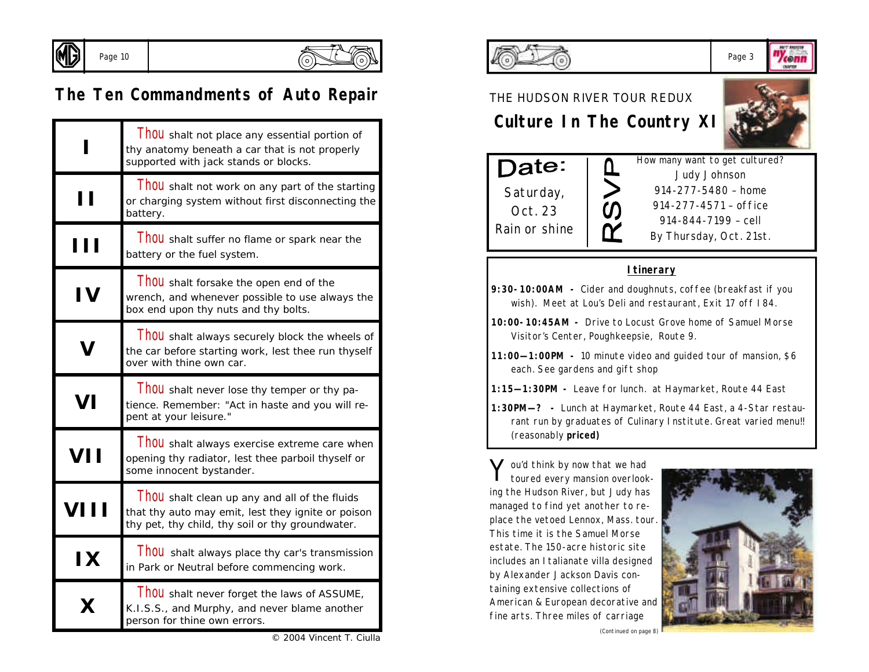

Page 10



© 2004 Vincent T. Ciulla

# **The Ten Commandments of Auto Repair**

|            | Thou shalt not place any essential portion of<br>thy anatomy beneath a car that is not properly<br>supported with jack stands or blocks.                |
|------------|---------------------------------------------------------------------------------------------------------------------------------------------------------|
| ''         | <b>I hou</b> shalt not work on any part of the starting<br>or charging system without first disconnecting the<br>battery.                               |
| H          | Thou shalt suffer no flame or spark near the<br>battery or the fuel system.                                                                             |
| <b>IV</b>  | <b>I hou</b> shalt forsake the open end of the<br>wrench, and whenever possible to use always the<br>box end upon thy nuts and thy bolts.               |
|            | <b>I hou</b> shalt always securely block the wheels of<br>the car before starting work, lest thee run thyself<br>over with thine own car.               |
| VI         | Thou shalt never lose thy temper or thy pa-<br>tience. Remember: "Act in haste and you will re-<br>pent at your leisure."                               |
| <b>VII</b> | Thou shalt always exercise extreme care when<br>opening thy radiator, lest thee parboil thyself or<br>some innocent bystander.                          |
|            | Thou shalt clean up any and all of the fluids<br>that thy auto may emit, lest they ignite or poison<br>thy pet, thy child, thy soil or thy groundwater. |
| IX         | Thou shalt always place thy car's transmission<br>in Park or Neutral before commencing work.                                                            |
|            | <b>I hou</b> shalt never forget the laws of ASSUME,<br>K.I.S.S., and Murphy, and never blame another<br>person for thine own errors.                    |



#### Page 3 '/conn

### THE HUDSON RIVER TOUR REDUX

 **Culture In The Country XI**

<u>ቢ</u>

 $\overline{\mathcal{O}}$ 灰



corpu



How many want to get cultured? *Judy Johnson 914-277-5480 – home 914-277-4571 – office 914-844-7199 – cell By Thursday, Oct. 21st.*

### **Itinerary**

| 9:30-10:00AM - Cider and doughnuts, coffee (breakfast if you |  |  |  |  |  |
|--------------------------------------------------------------|--|--|--|--|--|
| wish). Meet at Lou's Deli and restaurant, Exit 17 off 184.   |  |  |  |  |  |

- **10:00-10:45AM -** Drive to Locust Grove home of Samuel Morse Visitor's Center, Poughkeepsie, Route 9.
- **11:00—1:00PM -** 10 minute video and guided tour of mansion, \$6 each. See gardens and gift shop
- **1:15—1:30PM -** Leave for lunch. at Haymarket, Route 44 East
- **1:30PM—? -** Lunch at Haymarket, Route 44 East, a 4-Star restaurant run by graduates of Culinary Institute. Great varied menu!! (reasonably **priced)**

Y ou'd think by now that we had<br>toured every mansion overlook toured every mansion overlooking the Hudson River, but Judy has managed to find yet another to replace the vetoed Lennox, Mass. tour. This time it is the Samuel Morse estate. The 150-acre historic site includes an Italianate villa designed by Alexander Jackson Davis containing extensive collections of American & European decorative and fine arts. Three miles of carriage



*(Continued on page 8)*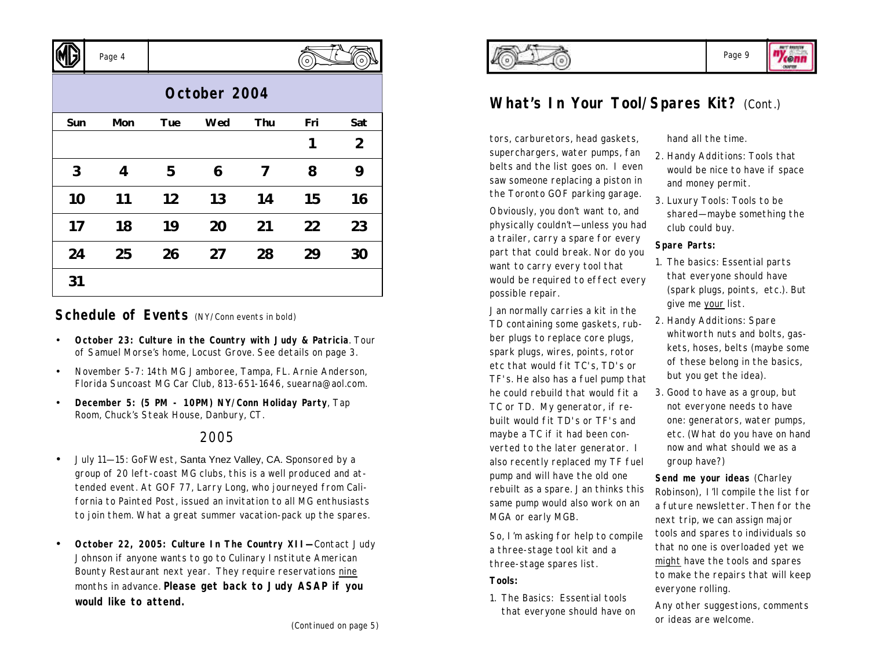

# **August 2004 October 2004**

Page 4

| Sun | Mon | Tue | Wed | Thu | Fri | Sat            |
|-----|-----|-----|-----|-----|-----|----------------|
|     |     |     |     |     | 1   | $\overline{2}$ |
| 3   | 4   | 5   | 6   | 7   | 8   | 9              |
| 10  | 11  | 12  | 13  | 14  | 15  | 16             |
| 17  | 18  | 19  | 20  | 21  | 22  | 23             |
| 24  | 25  | 26  | 27  | 28  | 29  | 30             |
| 31  |     |     |     |     |     |                |

### **Schedule of Events** (NY/Conn events in bold)

- **October 23: Culture in the Country with Judy & Patricia**. Tour of Samuel Morse's home, Locust Grove. See details on page 3.
- November 5-7: 14th MG Jamboree, Tampa, FL. Arnie Anderson, Florida Suncoast MG Car Club, 813-651-1646, suearna@aol.com.
- **December 5: (5 PM 10PM) NY/Conn Holiday Party**, Tap Room, Chuck's Steak House, Danbury, CT.

### 2005

- July 11—15: GoFWest, Santa Ynez Valley, CA. Sponsored by a group of 20 left-coast MG clubs, this is a well produced and attended event. At GOF 77, Larry Long, who journeyed from California to Painted Post, issued an invitation to all MG enthusiasts to join them. What a great summer vacation-pack up the spares.
- **October 22, 2005: Culture In The Country XII—**Contact Judy Johnson if anyone wants to go to Culinary Institute American Bounty Restaurant next year. They require reservations nine months in advance. **Please get back to Judy ASAP if you would like to attend.**



corne

# **What's In Your Tool/Spares Kit?** (Cont.)

tors, carburetors, head gaskets, superchargers, water pumps, fan belts and the list goes on. I even saw someone replacing a piston in the Toronto GOF parking garage.

Obviously, you don't want to, and physically couldn't—unless you had a trailer, carry a spare for every part that could break. Nor do you want to carry every tool that would be required to effect every possible repair.

Jan normally carries a kit in the TD containing some gaskets, rubber plugs to replace core plugs, spark plugs, wires, points, rotor etc that would fit TC's, TD's or TF's. He also has a fuel pump that he could rebuild that would fit a TC or TD. My generator, if rebuilt would fit TD's or TF's and maybe a TC if it had been converted to the later generator. I also recently replaced my TF fuel pump and will have the old one rebuilt as a spare. Jan thinks this same pump would also work on an MGA or early MGB.

So, I'm asking for help to compile a three-stage tool kit and a three-stage spares list.

### **Tools:**

1. The Basics: Essential tools that everyone should have on hand all the time.

- 2. Handy Additions: Tools that would be nice to have if space and money permit.
- 3. Luxury Tools: Tools to be shared—maybe something the club could buy.

### **Spare Parts:**

- 1. The basics: Essential parts that everyone should have (spark plugs, points, etc.). But give me your list.
- 2. Handy Additions: Spare whitworth nuts and bolts, gaskets, hoses, belts (maybe some of these belong in the basics, but you get the idea).
- 3. Good to have as a group, but not everyone needs to have one: generators, water pumps, etc. (What do you have on hand now and what should we as a group have?)

**Send me your ideas** (Charley Robinson), I'll compile the list for a future newsletter. Then for the next trip, we can assign major tools and spares to individuals so that no one is overloaded yet we might have the tools and spares to make the repairs that will keep everyone rolling.

Any other suggestions, comments or ideas are welcome.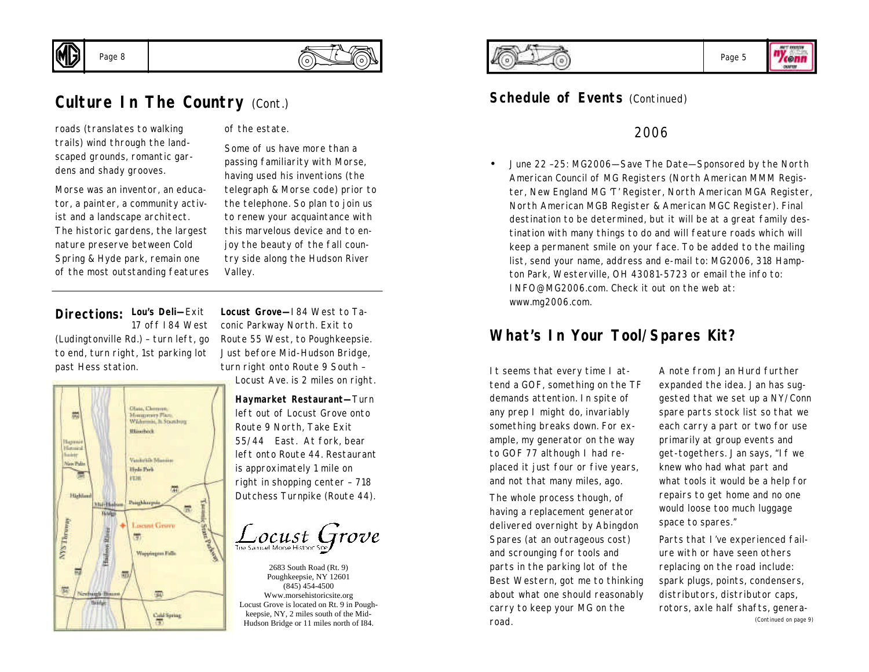



# **Culture In The Country (Cont.)**

roads (translates to walking trails) wind through the landscaped grounds, romantic gardens and shady grooves.

Morse was an inventor, an educator, a painter, a community activist and a landscape architect. The historic gardens, the largest nature preserve between Cold Spring & Hyde park, remain one of the most outstanding features of the estate.

Some of us have more than a passing familiarity with Morse, having used his inventions (the telegraph & Morse code) prior to the telephone. So plan to join us to renew your acquaintance with this marvelous device and to enjoy the beauty of the fall country side along the Hudson River Valley.

#### **Lou's Deli—**Exit **Directions:** 17 off I84 West

(Ludingtonville Rd.) – turn left, go to end, turn right, 1st parking lot past Hess station.



**Locust Grove—**I84 West to Taconic Parkway North. Exit to Route 55 West, to Poughkeepsie. Just before Mid-Hudson Bridge, turn right onto Route 9 South – Locust Ave. is 2 miles on right.

**Haymarket Restaurant—**Turn left out of Locust Grove onto Route 9 North, Take Exit 55/44 East. At fork, bear left onto Route 44. Restaurant is approximately 1 mile on right in shopping center – 718 Dutchess Turnpike (Route 44).

 $\frac{1}{2}$  OCUSt  $G$  TO Ve

2683 South Road (Rt. 9) Poughkeepsie, NY 12601 (845) 454-4500 Www.morsehistoricsite.org Locust Grove is located on Rt. 9 in Poughkeepsie, NY, 2 miles south of the Mid-Hudson Bridge or 11 miles north of I84.





### **Schedule of Events (Continued)**

### 2006

• June 22 –25: MG2006—Save The Date—Sponsored by the North American Council of MG Registers (North American MMM Register, New England MG 'T' Register, North American MGA Register, North American MGB Register & American MGC Register). Final destination to be determined, but it will be at a great family destination with many things to do and will feature roads which will keep a permanent smile on your face. To be added to the mailing list, send your name, address and e-mail to: MG2006, 318 Hampton Park, Westerville, OH 43081-5723 or email the info to: INFO@MG2006.com. Check it out on the web at: www.mg2006.com.

# **What's In Your Tool/Spares Kit?**

It seems that every time I attend a GOF, something on the TF demands attention. In spite of any prep I might do, invariably something breaks down. For example, my generator on the way to GOF 77 although I had replaced it just four or five years, and not that many miles, ago.

The whole process though, of having a replacement generator delivered overnight by Abingdon Spares (at an outrageous cost) and scrounging for tools and parts in the parking lot of the Best Western, got me to thinking about what one should reasonably carry to keep your MG on the road.

A note from Jan Hurd further expanded the idea. Jan has suggested that we set up a NY/Conn spare parts stock list so that we each carry a part or two for use primarily at group events and get-togethers. Jan says, "If we knew who had what part and what tools it would be a help for repairs to get home and no one would loose too much luggage space to spares."

Parts that I've experienced failure with or have seen others replacing on the road include: spark plugs, points, condensers, distributors, distributor caps, rotors, axle half shafts, genera- *(Continued on page 9)*